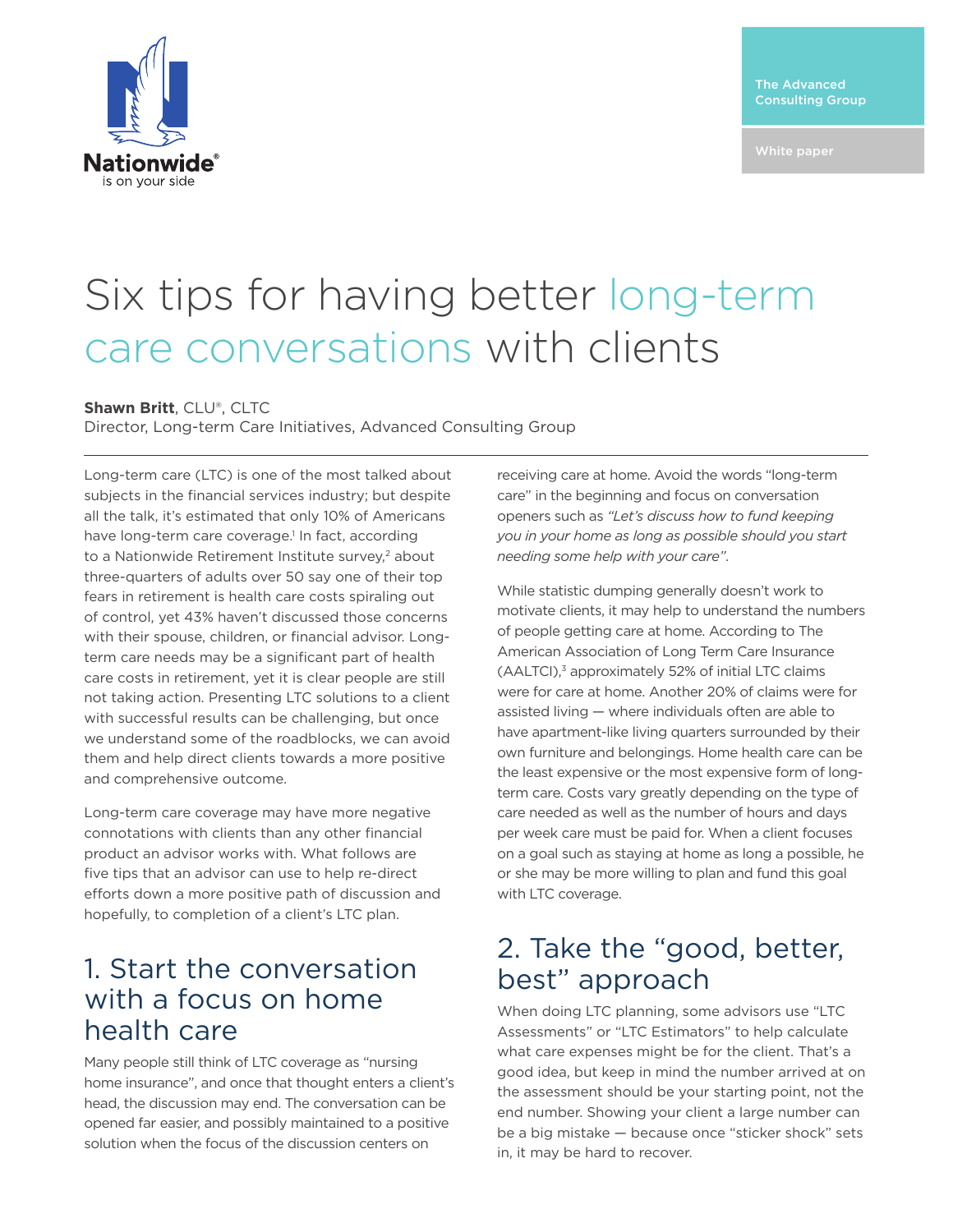The Advanced Consulting Group



# Six tips for having better long-term care conversations with clients

#### **Shawn Britt**, CLU®, CLTC

Director, Long-term Care Initiatives, Advanced Consulting Group

Long-term care (LTC) is one of the most talked about subjects in the financial services industry; but despite all the talk, it's estimated that only 10% of Americans have long-term care coverage.<sup>1</sup> In fact, according to a Nationwide Retirement Institute survey,<sup>2</sup> about three-quarters of adults over 50 say one of their top fears in retirement is health care costs spiraling out of control, yet 43% haven't discussed those concerns with their spouse, children, or financial advisor. Longterm care needs may be a significant part of health care costs in retirement, yet it is clear people are still not taking action. Presenting LTC solutions to a client with successful results can be challenging, but once we understand some of the roadblocks, we can avoid them and help direct clients towards a more positive and comprehensive outcome.

Long-term care coverage may have more negative connotations with clients than any other financial product an advisor works with. What follows are five tips that an advisor can use to help re-direct efforts down a more positive path of discussion and hopefully, to completion of a client's LTC plan.

#### 1. Start the conversation with a focus on home health care

Many people still think of LTC coverage as "nursing home insurance", and once that thought enters a client's head, the discussion may end. The conversation can be opened far easier, and possibly maintained to a positive solution when the focus of the discussion centers on

receiving care at home. Avoid the words "long-term care" in the beginning and focus on conversation openers such as *"Let's discuss how to fund keeping you in your home as long as possible should you start needing some help with your care"*.

While statistic dumping generally doesn't work to motivate clients, it may help to understand the numbers of people getting care at home. According to The American Association of Long Term Care Insurance  $(AALTCI),<sup>3</sup>$  approximately 52% of initial LTC claims were for care at home. Another 20% of claims were for assisted living — where individuals often are able to have apartment-like living quarters surrounded by their own furniture and belongings. Home health care can be the least expensive or the most expensive form of longterm care. Costs vary greatly depending on the type of care needed as well as the number of hours and days per week care must be paid for. When a client focuses on a goal such as staying at home as long a possible, he or she may be more willing to plan and fund this goal with LTC coverage.

#### 2. Take the "good, better, best" approach

When doing LTC planning, some advisors use "LTC Assessments" or "LTC Estimators" to help calculate what care expenses might be for the client. That's a good idea, but keep in mind the number arrived at on the assessment should be your starting point, not the end number. Showing your client a large number can be a big mistake — because once "sticker shock" sets in, it may be hard to recover.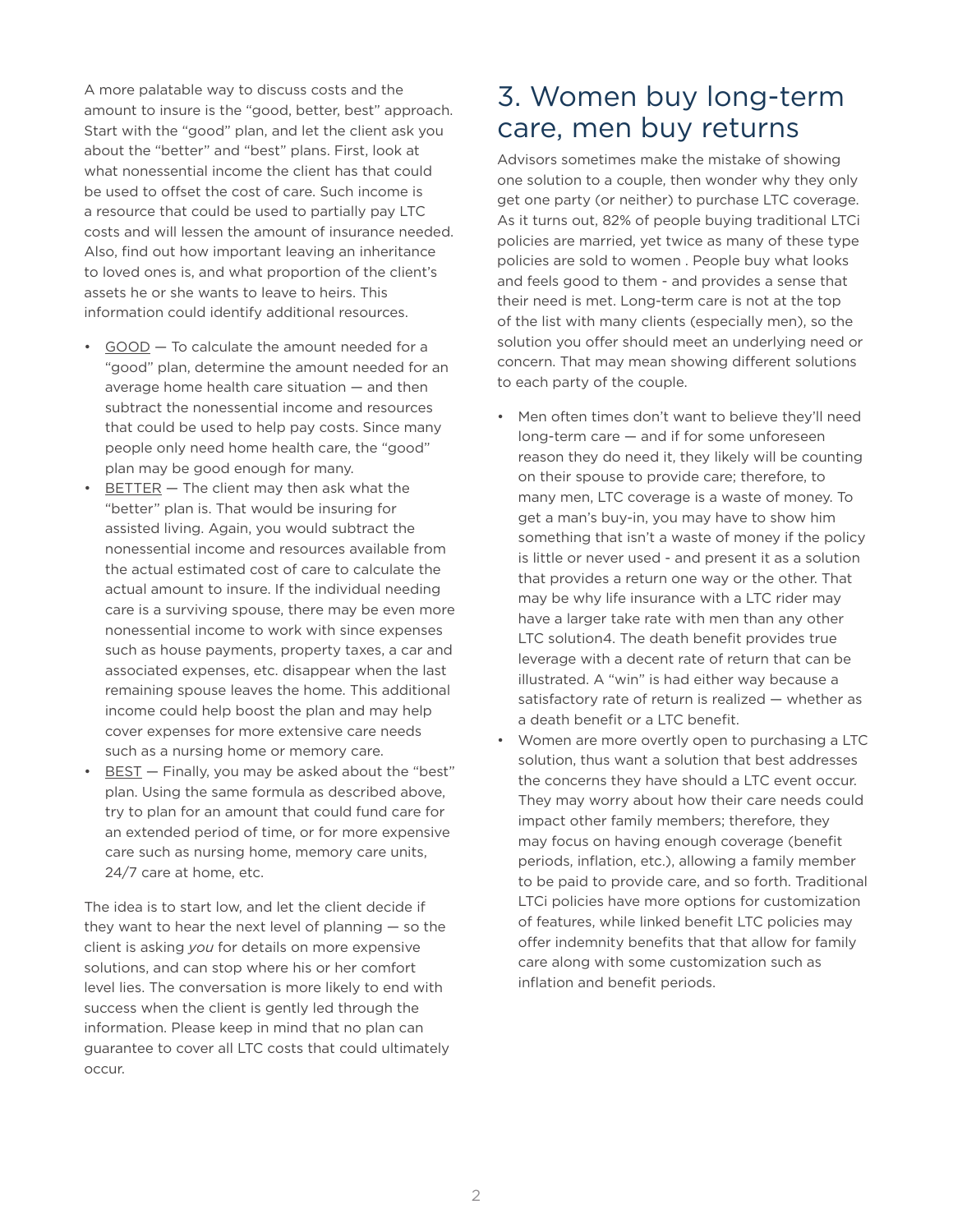A more palatable way to discuss costs and the amount to insure is the "good, better, best" approach. Start with the "good" plan, and let the client ask you about the "better" and "best" plans. First, look at what nonessential income the client has that could be used to offset the cost of care. Such income is a resource that could be used to partially pay LTC costs and will lessen the amount of insurance needed. Also, find out how important leaving an inheritance to loved ones is, and what proportion of the client's assets he or she wants to leave to heirs. This information could identify additional resources.

- GOOD To calculate the amount needed for a "good" plan, determine the amount needed for an average home health care situation — and then subtract the nonessential income and resources that could be used to help pay costs. Since many people only need home health care, the "good" plan may be good enough for many.
- $BETTER The client may then ask what the$ "better" plan is. That would be insuring for assisted living. Again, you would subtract the nonessential income and resources available from the actual estimated cost of care to calculate the actual amount to insure. If the individual needing care is a surviving spouse, there may be even more nonessential income to work with since expenses such as house payments, property taxes, a car and associated expenses, etc. disappear when the last remaining spouse leaves the home. This additional income could help boost the plan and may help cover expenses for more extensive care needs such as a nursing home or memory care.
- BEST Finally, you may be asked about the "best" plan. Using the same formula as described above, try to plan for an amount that could fund care for an extended period of time, or for more expensive care such as nursing home, memory care units, 24/7 care at home, etc.

The idea is to start low, and let the client decide if they want to hear the next level of planning  $-$  so the client is asking *you* for details on more expensive solutions, and can stop where his or her comfort level lies. The conversation is more likely to end with success when the client is gently led through the information. Please keep in mind that no plan can guarantee to cover all LTC costs that could ultimately occur.

## 3. Women buy long-term care, men buy returns

Advisors sometimes make the mistake of showing one solution to a couple, then wonder why they only get one party (or neither) to purchase LTC coverage. As it turns out, 82% of people buying traditional LTCi policies are married, yet twice as many of these type policies are sold to women . People buy what looks and feels good to them - and provides a sense that their need is met. Long-term care is not at the top of the list with many clients (especially men), so the solution you offer should meet an underlying need or concern. That may mean showing different solutions to each party of the couple.

- Men often times don't want to believe they'll need long-term care — and if for some unforeseen reason they do need it, they likely will be counting on their spouse to provide care; therefore, to many men, LTC coverage is a waste of money. To get a man's buy-in, you may have to show him something that isn't a waste of money if the policy is little or never used - and present it as a solution that provides a return one way or the other. That may be why life insurance with a LTC rider may have a larger take rate with men than any other LTC solution4. The death benefit provides true leverage with a decent rate of return that can be illustrated. A "win" is had either way because a satisfactory rate of return is realized — whether as a death benefit or a LTC benefit.
- Women are more overtly open to purchasing a LTC solution, thus want a solution that best addresses the concerns they have should a LTC event occur. They may worry about how their care needs could impact other family members; therefore, they may focus on having enough coverage (benefit periods, inflation, etc.), allowing a family member to be paid to provide care, and so forth. Traditional LTCi policies have more options for customization of features, while linked benefit LTC policies may offer indemnity benefits that that allow for family care along with some customization such as inflation and benefit periods.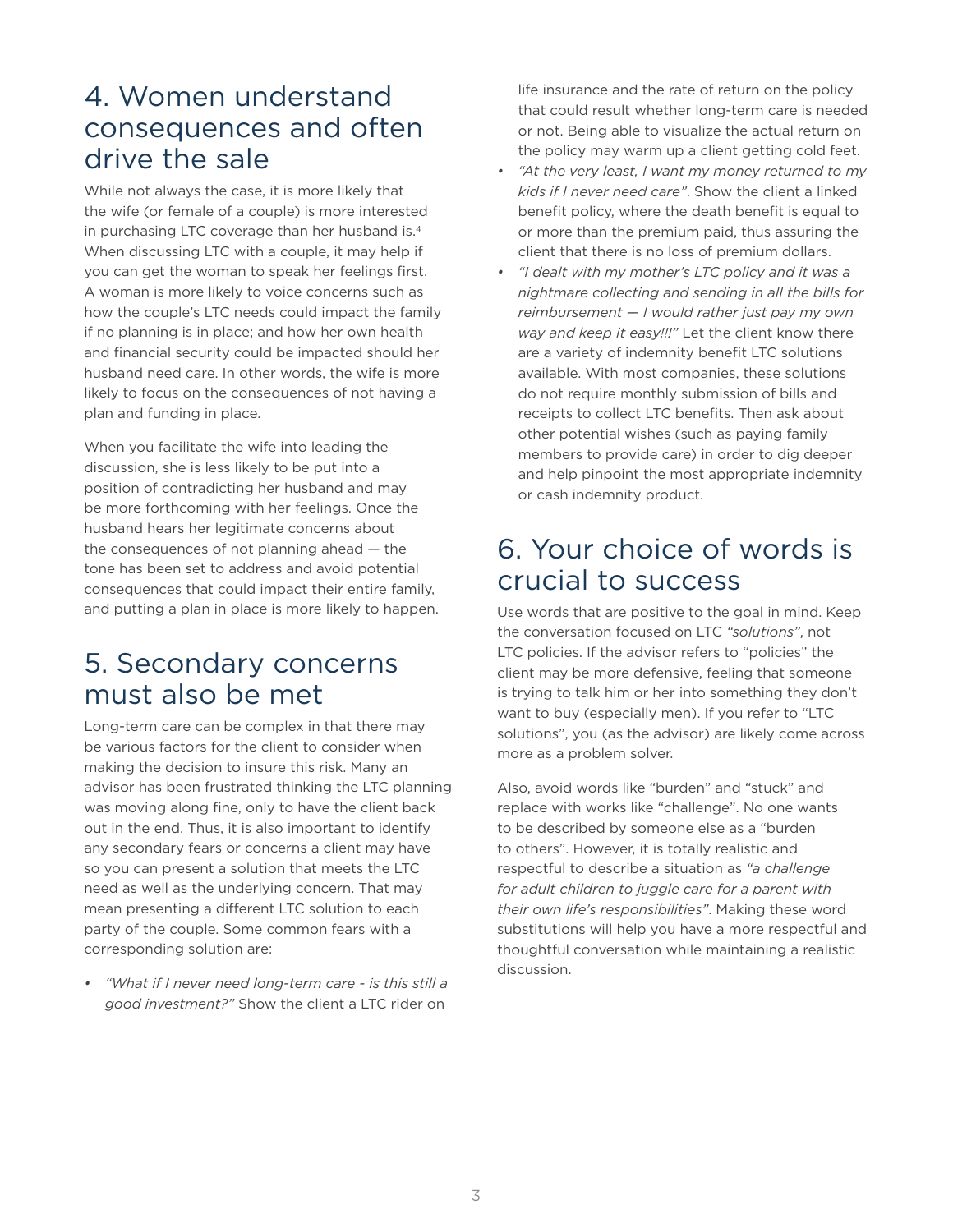## 4. Women understand consequences and often drive the sale

While not always the case, it is more likely that the wife (or female of a couple) is more interested in purchasing LTC coverage than her husband is.4 When discussing LTC with a couple, it may help if you can get the woman to speak her feelings first. A woman is more likely to voice concerns such as how the couple's LTC needs could impact the family if no planning is in place; and how her own health and financial security could be impacted should her husband need care. In other words, the wife is more likely to focus on the consequences of not having a plan and funding in place.

When you facilitate the wife into leading the discussion, she is less likely to be put into a position of contradicting her husband and may be more forthcoming with her feelings. Once the husband hears her legitimate concerns about the consequences of not planning ahead — the tone has been set to address and avoid potential consequences that could impact their entire family, and putting a plan in place is more likely to happen.

## 5. Secondary concerns must also be met

Long-term care can be complex in that there may be various factors for the client to consider when making the decision to insure this risk. Many an advisor has been frustrated thinking the LTC planning was moving along fine, only to have the client back out in the end. Thus, it is also important to identify any secondary fears or concerns a client may have so you can present a solution that meets the LTC need as well as the underlying concern. That may mean presenting a different LTC solution to each party of the couple. Some common fears with a corresponding solution are:

*• "What if I never need long-term care - is this still a good investment?"* Show the client a LTC rider on

life insurance and the rate of return on the policy that could result whether long-term care is needed or not. Being able to visualize the actual return on the policy may warm up a client getting cold feet.

- *• "At the very least, I want my money returned to my kids if I never need care"*. Show the client a linked benefit policy, where the death benefit is equal to or more than the premium paid, thus assuring the client that there is no loss of premium dollars.
- *• "I dealt with my mother's LTC policy and it was a nightmare collecting and sending in all the bills for reimbursement — I would rather just pay my own way and keep it easy!!!"* Let the client know there are a variety of indemnity benefit LTC solutions available. With most companies, these solutions do not require monthly submission of bills and receipts to collect LTC benefits. Then ask about other potential wishes (such as paying family members to provide care) in order to dig deeper and help pinpoint the most appropriate indemnity or cash indemnity product.

## 6. Your choice of words is crucial to success

Use words that are positive to the goal in mind. Keep the conversation focused on LTC *"solutions"*, not LTC policies. If the advisor refers to "policies" the client may be more defensive, feeling that someone is trying to talk him or her into something they don't want to buy (especially men). If you refer to "LTC solutions", you (as the advisor) are likely come across more as a problem solver.

Also, avoid words like "burden" and "stuck" and replace with works like "challenge". No one wants to be described by someone else as a "burden to others". However, it is totally realistic and respectful to describe a situation as *"a challenge for adult children to juggle care for a parent with their own life's responsibilities"*. Making these word substitutions will help you have a more respectful and thoughtful conversation while maintaining a realistic discussion.